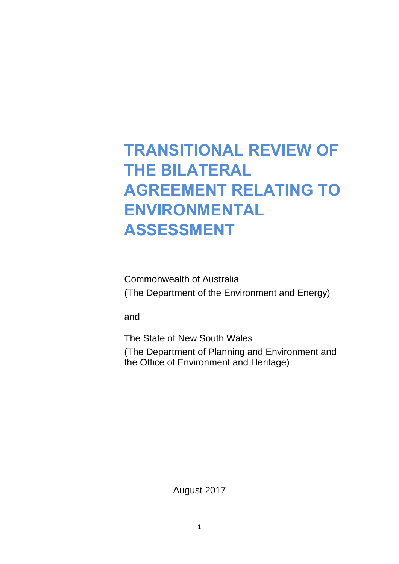## **TRANSITIONAL REVIEW OF THE BILATERAL AGREEMENT RELATING TO ENVIRONMENTAL ASSESSMENT**

Commonwealth of Australia (The Department of the Environment and Energy)

and

The State of New South Wales

(The Department of Planning and Environment and the Office of Environment and Heritage)

August 2017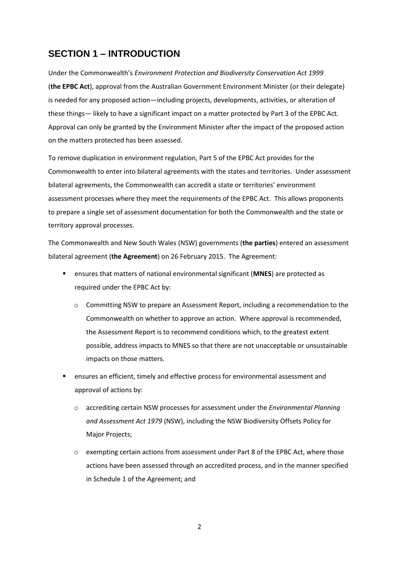## **SECTION 1 – INTRODUCTION**

Under the Commonwealth's *Environment Protection and Biodiversity Conservation Act 1999* (**the EPBC Act**), approval from the Australian Government Environment Minister (or their delegate) is needed for any proposed action—including projects, developments, activities, or alteration of these things— likely to have a significant impact on a matter protected by Part 3 of the EPBC Act. Approval can only be granted by the Environment Minister after the impact of the proposed action on the matters protected has been assessed.

To remove duplication in environment regulation, Part 5 of the EPBC Act provides for the Commonwealth to enter into bilateral agreements with the states and territories. Under assessment bilateral agreements, the Commonwealth can accredit a state or territories' environment assessment processes where they meet the requirements of the EPBC Act. This allows proponents to prepare a single set of assessment documentation for both the Commonwealth and the state or territory approval processes.

The Commonwealth and New South Wales (NSW) governments (**the parties**) entered an assessment bilateral agreement (**the Agreement**) on 26 February 2015. The Agreement:

- ensures that matters of national environmental significant (**MNES**) are protected as required under the EPBC Act by:
	- o Committing NSW to prepare an Assessment Report, including a recommendation to the Commonwealth on whether to approve an action. Where approval is recommended, the Assessment Report is to recommend conditions which, to the greatest extent possible, address impacts to MNES so that there are not unacceptable or unsustainable impacts on those matters.
- ensures an efficient, timely and effective process for environmental assessment and approval of actions by:
	- o accrediting certain NSW processes for assessment under the *Environmental Planning and Assessment Act 1979* (NSW), including the NSW Biodiversity Offsets Policy for Major Projects;
	- o exempting certain actions from assessment under Part 8 of the EPBC Act, where those actions have been assessed through an accredited process, and in the manner specified in Schedule 1 of the Agreement; and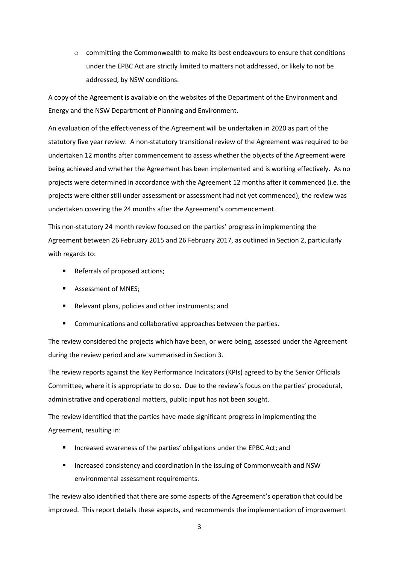o committing the Commonwealth to make its best endeavours to ensure that conditions under the EPBC Act are strictly limited to matters not addressed, or likely to not be addressed, by NSW conditions.

A copy of the Agreement is available on the websites of the Department of the Environment and Energy and the NSW Department of Planning and Environment.

An evaluation of the effectiveness of the Agreement will be undertaken in 2020 as part of the statutory five year review. A non-statutory transitional review of the Agreement was required to be undertaken 12 months after commencement to assess whether the objects of the Agreement were being achieved and whether the Agreement has been implemented and is working effectively. As no projects were determined in accordance with the Agreement 12 months after it commenced (i.e. the projects were either still under assessment or assessment had not yet commenced), the review was undertaken covering the 24 months after the Agreement's commencement.

This non-statutory 24 month review focused on the parties' progress in implementing the Agreement between 26 February 2015 and 26 February 2017, as outlined in Section 2, particularly with regards to:

- Referrals of proposed actions;
- Assessment of MNES;
- Relevant plans, policies and other instruments; and
- Communications and collaborative approaches between the parties.

The review considered the projects which have been, or were being, assessed under the Agreement during the review period and are summarised in Section 3.

The review reports against the Key Performance Indicators (KPIs) agreed to by the Senior Officials Committee, where it is appropriate to do so. Due to the review's focus on the parties' procedural, administrative and operational matters, public input has not been sought.

The review identified that the parties have made significant progress in implementing the Agreement, resulting in:

- Increased awareness of the parties' obligations under the EPBC Act; and
- Increased consistency and coordination in the issuing of Commonwealth and NSW environmental assessment requirements.

The review also identified that there are some aspects of the Agreement's operation that could be improved. This report details these aspects, and recommends the implementation of improvement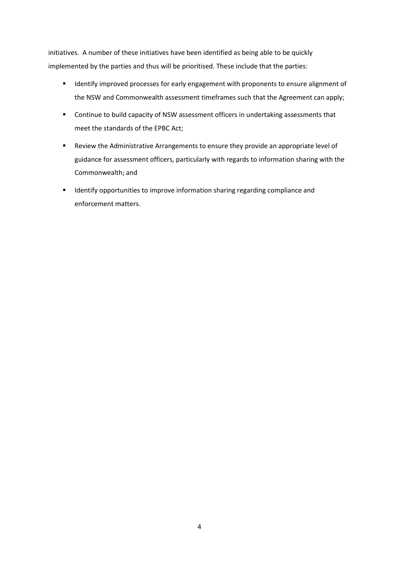initiatives. A number of these initiatives have been identified as being able to be quickly implemented by the parties and thus will be prioritised. These include that the parties:

- **IDENTIFY IMPROVED AT STARK IS A THE IMAGE IS A THE IMAGE IS A THE IMAGE IMAGE IMAGE IS A THE IMAGE IS A THE ISL** the NSW and Commonwealth assessment timeframes such that the Agreement can apply;
- **•** Continue to build capacity of NSW assessment officers in undertaking assessments that meet the standards of the EPBC Act;
- Review the Administrative Arrangements to ensure they provide an appropriate level of guidance for assessment officers, particularly with regards to information sharing with the Commonwealth; and
- **Interative opportunities to improve information sharing regarding compliance and** enforcement matters.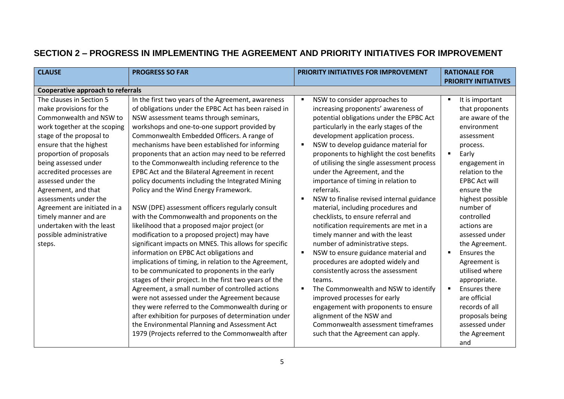## **SECTION 2 – PROGRESS IN IMPLEMENTING THE AGREEMENT AND PRIORITY INITIATIVES FOR IMPROVEMENT**

| <b>CLAUSE</b>                                                                                                                                                                                                                                                                                                                                                                                                                                                                                     | <b>PROGRESS SO FAR</b>                                                                                                                                                                                                                                                                                                                                                                                                                                                                                                                                                                                                                                                                                                                                                                                                                                                                                                                                                                                                                                                                                                                                                                                                                                                                                | PRIORITY INITIATIVES FOR IMPROVEMENT                                                                                                                                                                                                                                                                                                                                                                                                                                                                                                                                                                                                                                                                                                                                                                                                                                                                                                                                                 | <b>RATIONALE FOR</b><br><b>PRIORITY INITIATIVES</b>                                                                                                                                                                                                                                                                                                                                                                                                                                                                   |
|---------------------------------------------------------------------------------------------------------------------------------------------------------------------------------------------------------------------------------------------------------------------------------------------------------------------------------------------------------------------------------------------------------------------------------------------------------------------------------------------------|-------------------------------------------------------------------------------------------------------------------------------------------------------------------------------------------------------------------------------------------------------------------------------------------------------------------------------------------------------------------------------------------------------------------------------------------------------------------------------------------------------------------------------------------------------------------------------------------------------------------------------------------------------------------------------------------------------------------------------------------------------------------------------------------------------------------------------------------------------------------------------------------------------------------------------------------------------------------------------------------------------------------------------------------------------------------------------------------------------------------------------------------------------------------------------------------------------------------------------------------------------------------------------------------------------|--------------------------------------------------------------------------------------------------------------------------------------------------------------------------------------------------------------------------------------------------------------------------------------------------------------------------------------------------------------------------------------------------------------------------------------------------------------------------------------------------------------------------------------------------------------------------------------------------------------------------------------------------------------------------------------------------------------------------------------------------------------------------------------------------------------------------------------------------------------------------------------------------------------------------------------------------------------------------------------|-----------------------------------------------------------------------------------------------------------------------------------------------------------------------------------------------------------------------------------------------------------------------------------------------------------------------------------------------------------------------------------------------------------------------------------------------------------------------------------------------------------------------|
|                                                                                                                                                                                                                                                                                                                                                                                                                                                                                                   |                                                                                                                                                                                                                                                                                                                                                                                                                                                                                                                                                                                                                                                                                                                                                                                                                                                                                                                                                                                                                                                                                                                                                                                                                                                                                                       |                                                                                                                                                                                                                                                                                                                                                                                                                                                                                                                                                                                                                                                                                                                                                                                                                                                                                                                                                                                      |                                                                                                                                                                                                                                                                                                                                                                                                                                                                                                                       |
| <b>Cooperative approach to referrals</b><br>The clauses in Section 5<br>make provisions for the<br>Commonwealth and NSW to<br>work together at the scoping<br>stage of the proposal to<br>ensure that the highest<br>proportion of proposals<br>being assessed under<br>accredited processes are<br>assessed under the<br>Agreement, and that<br>assessments under the<br>Agreement are initiated in a<br>timely manner and are<br>undertaken with the least<br>possible administrative<br>steps. | In the first two years of the Agreement, awareness<br>of obligations under the EPBC Act has been raised in<br>NSW assessment teams through seminars,<br>workshops and one-to-one support provided by<br>Commonwealth Embedded Officers. A range of<br>mechanisms have been established for informing<br>proponents that an action may need to be referred<br>to the Commonwealth including reference to the<br>EPBC Act and the Bilateral Agreement in recent<br>policy documents including the Integrated Mining<br>Policy and the Wind Energy Framework.<br>NSW (DPE) assessment officers regularly consult<br>with the Commonwealth and proponents on the<br>likelihood that a proposed major project (or<br>modification to a proposed project) may have<br>significant impacts on MNES. This allows for specific<br>information on EPBC Act obligations and<br>implications of timing, in relation to the Agreement,<br>to be communicated to proponents in the early<br>stages of their project. In the first two years of the<br>Agreement, a small number of controlled actions<br>were not assessed under the Agreement because<br>they were referred to the Commonwealth during or<br>after exhibition for purposes of determination under<br>the Environmental Planning and Assessment Act | NSW to consider approaches to<br>٠<br>increasing proponents' awareness of<br>potential obligations under the EPBC Act<br>particularly in the early stages of the<br>development application process.<br>NSW to develop guidance material for<br>proponents to highlight the cost benefits<br>of utilising the single assessment process<br>under the Agreement, and the<br>importance of timing in relation to<br>referrals.<br>NSW to finalise revised internal guidance<br>material, including procedures and<br>checklists, to ensure referral and<br>notification requirements are met in a<br>timely manner and with the least<br>number of administrative steps.<br>NSW to ensure guidance material and<br>procedures are adopted widely and<br>consistently across the assessment<br>teams.<br>The Commonwealth and NSW to identify<br>improved processes for early<br>engagement with proponents to ensure<br>alignment of the NSW and<br>Commonwealth assessment timeframes | It is important<br>$\blacksquare$<br>that proponents<br>are aware of the<br>environment<br>assessment<br>process.<br>Early<br>$\blacksquare$<br>engagement in<br>relation to the<br><b>EPBC Act will</b><br>ensure the<br>highest possible<br>number of<br>controlled<br>actions are<br>assessed under<br>the Agreement.<br>Ensures the<br>$\blacksquare$<br>Agreement is<br>utilised where<br>appropriate.<br>Ensures there<br>$\blacksquare$<br>are official<br>records of all<br>proposals being<br>assessed under |
|                                                                                                                                                                                                                                                                                                                                                                                                                                                                                                   | 1979 (Projects referred to the Commonwealth after                                                                                                                                                                                                                                                                                                                                                                                                                                                                                                                                                                                                                                                                                                                                                                                                                                                                                                                                                                                                                                                                                                                                                                                                                                                     | such that the Agreement can apply.                                                                                                                                                                                                                                                                                                                                                                                                                                                                                                                                                                                                                                                                                                                                                                                                                                                                                                                                                   | the Agreement<br>and                                                                                                                                                                                                                                                                                                                                                                                                                                                                                                  |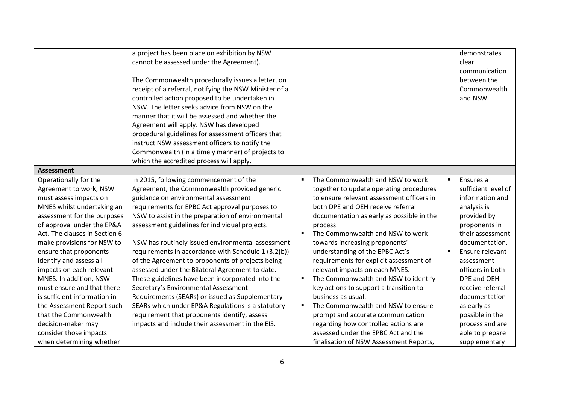|                                                                                                                                                                                                                                                                                                                                                                                                                                                                                           | a project has been place on exhibition by NSW<br>cannot be assessed under the Agreement).<br>The Commonwealth procedurally issues a letter, on<br>receipt of a referral, notifying the NSW Minister of a<br>controlled action proposed to be undertaken in<br>NSW. The letter seeks advice from NSW on the<br>manner that it will be assessed and whether the<br>Agreement will apply. NSW has developed<br>procedural guidelines for assessment officers that<br>instruct NSW assessment officers to notify the<br>Commonwealth (in a timely manner) of projects to<br>which the accredited process will apply.                                                                                                                                                                                                   |                                                                                                                                                                                                                                                                                                                                                                                                                                                                                                                                                                                                                                                                                | demonstrates<br>clear<br>communication<br>between the<br>Commonwealth<br>and NSW.                                                                                                                                                                                                                                              |
|-------------------------------------------------------------------------------------------------------------------------------------------------------------------------------------------------------------------------------------------------------------------------------------------------------------------------------------------------------------------------------------------------------------------------------------------------------------------------------------------|--------------------------------------------------------------------------------------------------------------------------------------------------------------------------------------------------------------------------------------------------------------------------------------------------------------------------------------------------------------------------------------------------------------------------------------------------------------------------------------------------------------------------------------------------------------------------------------------------------------------------------------------------------------------------------------------------------------------------------------------------------------------------------------------------------------------|--------------------------------------------------------------------------------------------------------------------------------------------------------------------------------------------------------------------------------------------------------------------------------------------------------------------------------------------------------------------------------------------------------------------------------------------------------------------------------------------------------------------------------------------------------------------------------------------------------------------------------------------------------------------------------|--------------------------------------------------------------------------------------------------------------------------------------------------------------------------------------------------------------------------------------------------------------------------------------------------------------------------------|
| <b>Assessment</b>                                                                                                                                                                                                                                                                                                                                                                                                                                                                         |                                                                                                                                                                                                                                                                                                                                                                                                                                                                                                                                                                                                                                                                                                                                                                                                                    |                                                                                                                                                                                                                                                                                                                                                                                                                                                                                                                                                                                                                                                                                |                                                                                                                                                                                                                                                                                                                                |
| Operationally for the<br>Agreement to work, NSW<br>must assess impacts on<br>MNES whilst undertaking an<br>assessment for the purposes<br>of approval under the EP&A<br>Act. The clauses in Section 6<br>make provisions for NSW to<br>ensure that proponents<br>identify and assess all<br>impacts on each relevant<br>MNES. In addition, NSW<br>must ensure and that there<br>is sufficient information in<br>the Assessment Report such<br>that the Commonwealth<br>decision-maker may | In 2015, following commencement of the<br>Agreement, the Commonwealth provided generic<br>guidance on environmental assessment<br>requirements for EPBC Act approval purposes to<br>NSW to assist in the preparation of environmental<br>assessment guidelines for individual projects.<br>NSW has routinely issued environmental assessment<br>requirements in accordance with Schedule 1 (3.2(b))<br>of the Agreement to proponents of projects being<br>assessed under the Bilateral Agreement to date.<br>These guidelines have been incorporated into the<br>Secretary's Environmental Assessment<br>Requirements (SEARs) or issued as Supplementary<br>SEARs which under EP&A Regulations is a statutory<br>requirement that proponents identify, assess<br>impacts and include their assessment in the EIS. | The Commonwealth and NSW to work<br>together to update operating procedures<br>to ensure relevant assessment officers in<br>both DPE and OEH receive referral<br>documentation as early as possible in the<br>process.<br>The Commonwealth and NSW to work<br>towards increasing proponents'<br>understanding of the EPBC Act's<br>requirements for explicit assessment of<br>relevant impacts on each MNES.<br>The Commonwealth and NSW to identify<br>key actions to support a transition to<br>business as usual.<br>The Commonwealth and NSW to ensure<br>prompt and accurate communication<br>regarding how controlled actions are<br>assessed under the EPBC Act and the | Ensures a<br>٠<br>sufficient level of<br>information and<br>analysis is<br>provided by<br>proponents in<br>their assessment<br>documentation.<br>Ensure relevant<br>assessment<br>officers in both<br>DPE and OEH<br>receive referral<br>documentation<br>as early as<br>possible in the<br>process and are<br>able to prepare |
| consider those impacts<br>when determining whether                                                                                                                                                                                                                                                                                                                                                                                                                                        |                                                                                                                                                                                                                                                                                                                                                                                                                                                                                                                                                                                                                                                                                                                                                                                                                    | finalisation of NSW Assessment Reports,                                                                                                                                                                                                                                                                                                                                                                                                                                                                                                                                                                                                                                        |                                                                                                                                                                                                                                                                                                                                |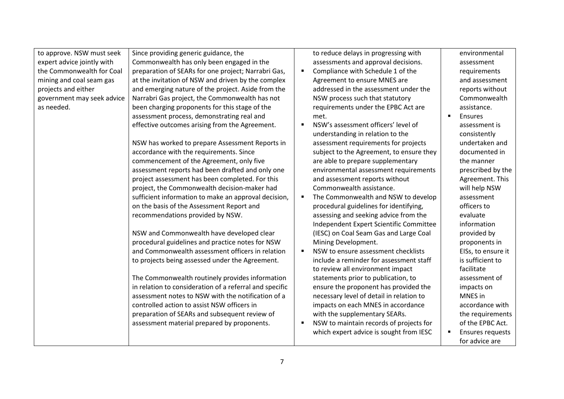to approve. NSW must seek expert advice jointly with the Commonwealth for Coal mining and coal seam gas projects and either government may seek advice as needed.

Since providing generic guidance, the Commonwealth has only been engaged in the preparation of SEARs for one project; Narrabri Gas, at the invitation of NSW and driven by the complex and emerging nature of the project. Aside from the Narrabri Gas project, the Commonwealth has not been charging proponents for this stage of the assessment process, demonstrating real and effective outcomes arising from the Agreement.

NSW has worked to prepare Assessment Reports in accordance with the requirements. Since commencement of the Agreement, only five assessment reports had been drafted and only one project assessment has been completed. For this project, the Commonwealth decision-maker had sufficient information to make an approval decision, on the basis of the Assessment Report and recommendations provided by NSW.

NSW and Commonwealth have developed clear procedural guidelines and practice notes for NSW and Commonwealth assessment officers in relation to projects being assessed under the Agreement.

The Commonwealth routinely provides information in relation to consideration of a referral and specific assessment notes to NSW with the notification of a controlled action to assist NSW officers in preparation of SEARs and subsequent review of assessment material prepared by proponents.

to reduce delays in progressing with assessments and approval decisions.

- Compliance with Schedule 1 of the Agreement to ensure MNES are addressed in the assessment under the NSW process such that statutory requirements under the EPBC Act are met.
- **NSW's assessment officers' level of** understanding in relation to the assessment requirements for projects subject to the Agreement, to ensure they are able to prepare supplementary environmental assessment requirements and assessment reports without Commonwealth assistance.
- The Commonwealth and NSW to develop procedural guidelines for identifying, assessing and seeking advice from the Independent Expert Scientific Committee (IESC) on Coal Seam Gas and Large Coal Mining Development.
- NSW to ensure assessment checklists include a reminder for assessment staff to review all environment impact statements prior to publication, to ensure the proponent has provided the necessary level of detail in relation to impacts on each MNES in accordance with the supplementary SEARs.
- NSW to maintain records of projects for which expert advice is sought from IESC

environmental assessment requirements and assessment reports without Commonwealth assistance.

**Ensures** assessment is consistently undertaken and documented in the manner prescribed by the Agreement. This will help NSW assessment officers to evaluate information provided by proponents in EISs, to ensure it is sufficient to facilitate assessment of impacts on MNES in accordance with the requirements of the EPBC Act. **Ensures requests** for advice are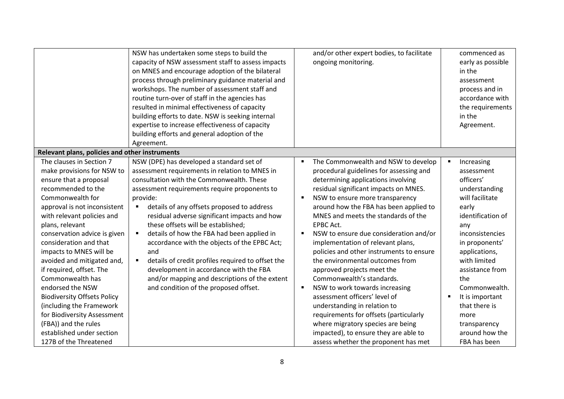|                                                                                                                                                                                                                                                                                                                                                                                                                                                                                                                             | NSW has undertaken some steps to build the<br>capacity of NSW assessment staff to assess impacts<br>on MNES and encourage adoption of the bilateral<br>process through preliminary guidance material and<br>workshops. The number of assessment staff and<br>routine turn-over of staff in the agencies has<br>resulted in minimal effectiveness of capacity<br>building efforts to date. NSW is seeking internal<br>expertise to increase effectiveness of capacity<br>building efforts and general adoption of the<br>Agreement.                                                                                                                                          | and/or other expert bodies, to facilitate<br>ongoing monitoring.                                                                                                                                                                                                                                                                                                                                                                                                                                                                                                                                                                                                                                                      | commenced as<br>early as possible<br>in the<br>assessment<br>process and in<br>accordance with<br>the requirements<br>in the<br>Agreement.                                                                                                                                                                         |
|-----------------------------------------------------------------------------------------------------------------------------------------------------------------------------------------------------------------------------------------------------------------------------------------------------------------------------------------------------------------------------------------------------------------------------------------------------------------------------------------------------------------------------|-----------------------------------------------------------------------------------------------------------------------------------------------------------------------------------------------------------------------------------------------------------------------------------------------------------------------------------------------------------------------------------------------------------------------------------------------------------------------------------------------------------------------------------------------------------------------------------------------------------------------------------------------------------------------------|-----------------------------------------------------------------------------------------------------------------------------------------------------------------------------------------------------------------------------------------------------------------------------------------------------------------------------------------------------------------------------------------------------------------------------------------------------------------------------------------------------------------------------------------------------------------------------------------------------------------------------------------------------------------------------------------------------------------------|--------------------------------------------------------------------------------------------------------------------------------------------------------------------------------------------------------------------------------------------------------------------------------------------------------------------|
| Relevant plans, policies and other instruments                                                                                                                                                                                                                                                                                                                                                                                                                                                                              |                                                                                                                                                                                                                                                                                                                                                                                                                                                                                                                                                                                                                                                                             |                                                                                                                                                                                                                                                                                                                                                                                                                                                                                                                                                                                                                                                                                                                       |                                                                                                                                                                                                                                                                                                                    |
| The clauses in Section 7<br>make provisions for NSW to<br>ensure that a proposal<br>recommended to the<br>Commonwealth for<br>approval is not inconsistent<br>with relevant policies and<br>plans, relevant<br>conservation advice is given<br>consideration and that<br>impacts to MNES will be<br>avoided and mitigated and,<br>if required, offset. The<br>Commonwealth has<br>endorsed the NSW<br><b>Biodiversity Offsets Policy</b><br>(including the Framework<br>for Biodiversity Assessment<br>(FBA)) and the rules | NSW (DPE) has developed a standard set of<br>assessment requirements in relation to MNES in<br>consultation with the Commonwealth. These<br>assessment requirements require proponents to<br>provide:<br>details of any offsets proposed to address<br>$\blacksquare$<br>residual adverse significant impacts and how<br>these offsets will be established;<br>details of how the FBA had been applied in<br>$\blacksquare$<br>accordance with the objects of the EPBC Act;<br>and<br>details of credit profiles required to offset the<br>development in accordance with the FBA<br>and/or mapping and descriptions of the extent<br>and condition of the proposed offset. | The Commonwealth and NSW to develop<br>п<br>procedural guidelines for assessing and<br>determining applications involving<br>residual significant impacts on MNES.<br>NSW to ensure more transparency<br>around how the FBA has been applied to<br>MNES and meets the standards of the<br><b>EPBC Act.</b><br>NSW to ensure due consideration and/or<br>implementation of relevant plans,<br>policies and other instruments to ensure<br>the environmental outcomes from<br>approved projects meet the<br>Commonwealth's standards.<br>NSW to work towards increasing<br>assessment officers' level of<br>understanding in relation to<br>requirements for offsets (particularly<br>where migratory species are being | $\blacksquare$<br>Increasing<br>assessment<br>officers'<br>understanding<br>will facilitate<br>early<br>identification of<br>any<br>inconsistencies<br>in proponents'<br>applications,<br>with limited<br>assistance from<br>the<br>Commonwealth.<br>It is important<br>٠<br>that there is<br>more<br>transparency |
| established under section<br>127B of the Threatened                                                                                                                                                                                                                                                                                                                                                                                                                                                                         |                                                                                                                                                                                                                                                                                                                                                                                                                                                                                                                                                                                                                                                                             | impacted), to ensure they are able to<br>assess whether the proponent has met                                                                                                                                                                                                                                                                                                                                                                                                                                                                                                                                                                                                                                         | around how the<br>FBA has been                                                                                                                                                                                                                                                                                     |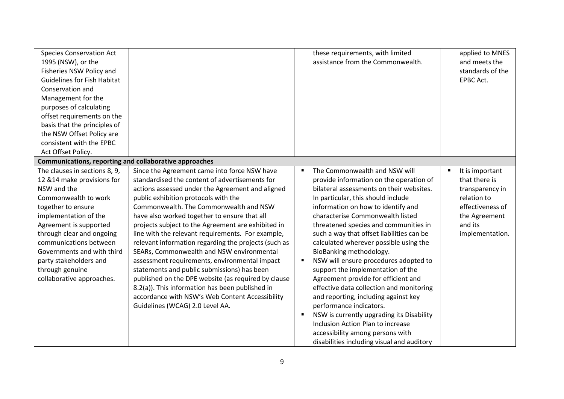| <b>Species Conservation Act</b><br>1995 (NSW), or the<br>Fisheries NSW Policy and<br><b>Guidelines for Fish Habitat</b><br>Conservation and<br>Management for the<br>purposes of calculating<br>offset requirements on the<br>basis that the principles of<br>the NSW Offset Policy are<br>consistent with the EPBC<br>Act Offset Policy.   |                                                                                                                                                                                                                                                                                                                                                                                                                                                                                                                                                                                                                                                                                                                                                                                                      | these requirements, with limited<br>assistance from the Commonwealth.                                                                                                                                                                                                                                                                                                                                                                                                                                                                                                                                                                                                                                                                                                                                   |                | applied to MNES<br>and meets the<br>standards of the<br>EPBC Act.                                                                     |
|---------------------------------------------------------------------------------------------------------------------------------------------------------------------------------------------------------------------------------------------------------------------------------------------------------------------------------------------|------------------------------------------------------------------------------------------------------------------------------------------------------------------------------------------------------------------------------------------------------------------------------------------------------------------------------------------------------------------------------------------------------------------------------------------------------------------------------------------------------------------------------------------------------------------------------------------------------------------------------------------------------------------------------------------------------------------------------------------------------------------------------------------------------|---------------------------------------------------------------------------------------------------------------------------------------------------------------------------------------------------------------------------------------------------------------------------------------------------------------------------------------------------------------------------------------------------------------------------------------------------------------------------------------------------------------------------------------------------------------------------------------------------------------------------------------------------------------------------------------------------------------------------------------------------------------------------------------------------------|----------------|---------------------------------------------------------------------------------------------------------------------------------------|
| Communications, reporting and collaborative approaches                                                                                                                                                                                                                                                                                      |                                                                                                                                                                                                                                                                                                                                                                                                                                                                                                                                                                                                                                                                                                                                                                                                      |                                                                                                                                                                                                                                                                                                                                                                                                                                                                                                                                                                                                                                                                                                                                                                                                         |                |                                                                                                                                       |
| The clauses in sections 8, 9,<br>12 & 14 make provisions for<br>NSW and the<br>Commonwealth to work<br>together to ensure<br>implementation of the<br>Agreement is supported<br>through clear and ongoing<br>communications between<br>Governments and with third<br>party stakeholders and<br>through genuine<br>collaborative approaches. | Since the Agreement came into force NSW have<br>standardised the content of advertisements for<br>actions assessed under the Agreement and aligned<br>public exhibition protocols with the<br>Commonwealth. The Commonwealth and NSW<br>have also worked together to ensure that all<br>projects subject to the Agreement are exhibited in<br>line with the relevant requirements. For example,<br>relevant information regarding the projects (such as<br>SEARs, Commonwealth and NSW environmental<br>assessment requirements, environmental impact<br>statements and public submissions) has been<br>published on the DPE website (as required by clause<br>8.2(a)). This information has been published in<br>accordance with NSW's Web Content Accessibility<br>Guidelines (WCAG) 2.0 Level AA. | The Commonwealth and NSW will<br>provide information on the operation of<br>bilateral assessments on their websites.<br>In particular, this should include<br>information on how to identify and<br>characterise Commonwealth listed<br>threatened species and communities in<br>such a way that offset liabilities can be<br>calculated wherever possible using the<br>BioBanking methodology.<br>NSW will ensure procedures adopted to<br>support the implementation of the<br>Agreement provide for efficient and<br>effective data collection and monitoring<br>and reporting, including against key<br>performance indicators.<br>NSW is currently upgrading its Disability<br>Inclusion Action Plan to increase<br>accessibility among persons with<br>disabilities including visual and auditory | $\blacksquare$ | It is important<br>that there is<br>transparency in<br>relation to<br>effectiveness of<br>the Agreement<br>and its<br>implementation. |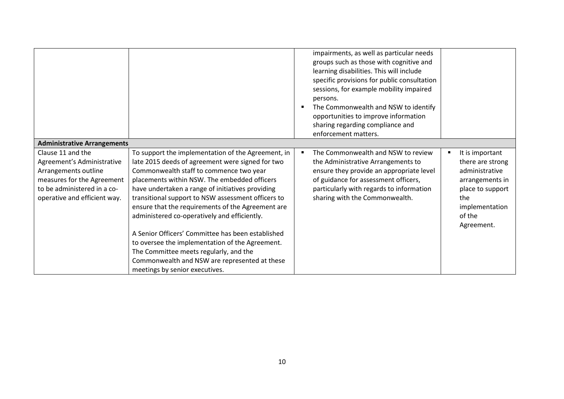|                                                                                                                                                                      |                                                                                                                                                                                                                                                                                                                                                                                                                                                                                                                                                                                                                                                       | impairments, as well as particular needs<br>groups such as those with cognitive and<br>learning disabilities. This will include<br>specific provisions for public consultation<br>sessions, for example mobility impaired<br>persons.<br>The Commonwealth and NSW to identify<br>opportunities to improve information<br>sharing regarding compliance and<br>enforcement matters. |   |                                                                                                                                               |
|----------------------------------------------------------------------------------------------------------------------------------------------------------------------|-------------------------------------------------------------------------------------------------------------------------------------------------------------------------------------------------------------------------------------------------------------------------------------------------------------------------------------------------------------------------------------------------------------------------------------------------------------------------------------------------------------------------------------------------------------------------------------------------------------------------------------------------------|-----------------------------------------------------------------------------------------------------------------------------------------------------------------------------------------------------------------------------------------------------------------------------------------------------------------------------------------------------------------------------------|---|-----------------------------------------------------------------------------------------------------------------------------------------------|
| <b>Administrative Arrangements</b>                                                                                                                                   |                                                                                                                                                                                                                                                                                                                                                                                                                                                                                                                                                                                                                                                       |                                                                                                                                                                                                                                                                                                                                                                                   |   |                                                                                                                                               |
| Clause 11 and the<br>Agreement's Administrative<br>Arrangements outline<br>measures for the Agreement<br>to be administered in a co-<br>operative and efficient way. | To support the implementation of the Agreement, in<br>late 2015 deeds of agreement were signed for two<br>Commonwealth staff to commence two year<br>placements within NSW. The embedded officers<br>have undertaken a range of initiatives providing<br>transitional support to NSW assessment officers to<br>ensure that the requirements of the Agreement are<br>administered co-operatively and efficiently.<br>A Senior Officers' Committee has been established<br>to oversee the implementation of the Agreement.<br>The Committee meets regularly, and the<br>Commonwealth and NSW are represented at these<br>meetings by senior executives. | The Commonwealth and NSW to review<br>the Administrative Arrangements to<br>ensure they provide an appropriate level<br>of guidance for assessment officers,<br>particularly with regards to information<br>sharing with the Commonwealth.                                                                                                                                        | в | It is important<br>there are strong<br>administrative<br>arrangements in<br>place to support<br>the<br>implementation<br>of the<br>Agreement. |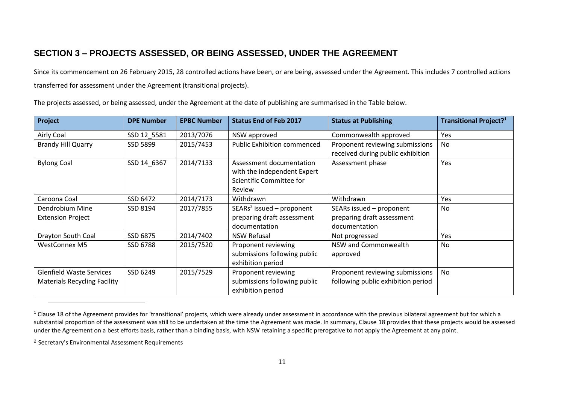## **SECTION 3 – PROJECTS ASSESSED, OR BEING ASSESSED, UNDER THE AGREEMENT**

Since its commencement on 26 February 2015, 28 controlled actions have been, or are being, assessed under the Agreement. This includes 7 controlled actions transferred for assessment under the Agreement (transitional projects).

The projects assessed, or being assessed, under the Agreement at the date of publishing are summarised in the Table below.

| Project                             | <b>DPE Number</b> | <b>EPBC Number</b> | <b>Status End of Feb 2017</b>      | <b>Status at Publishing</b>        | Transitional Project? <sup>1</sup> |
|-------------------------------------|-------------------|--------------------|------------------------------------|------------------------------------|------------------------------------|
| Airly Coal                          | SSD 12_5581       | 2013/7076          | NSW approved                       | Commonwealth approved              | Yes                                |
| <b>Brandy Hill Quarry</b>           | SSD 5899          | 2015/7453          | <b>Public Exhibition commenced</b> | Proponent reviewing submissions    | No.                                |
|                                     |                   |                    |                                    | received during public exhibition  |                                    |
| <b>Bylong Coal</b>                  | SSD 14 6367       | 2014/7133          | Assessment documentation           | Assessment phase                   | Yes                                |
|                                     |                   |                    | with the independent Expert        |                                    |                                    |
|                                     |                   |                    | Scientific Committee for           |                                    |                                    |
|                                     |                   |                    | Review                             |                                    |                                    |
| Caroona Coal                        | SSD 6472          | 2014/7173          | Withdrawn                          | Withdrawn                          | Yes                                |
| Dendrobium Mine                     | SSD 8194          | 2017/7855          | $SEARS2$ issued – proponent        | SEARs issued - proponent           | No                                 |
| <b>Extension Project</b>            |                   |                    | preparing draft assessment         | preparing draft assessment         |                                    |
|                                     |                   |                    | documentation                      | documentation                      |                                    |
| Drayton South Coal                  | SSD 6875          | 2014/7402          | <b>NSW Refusal</b>                 | Not progressed                     | Yes                                |
| <b>WestConnex M5</b>                | SSD 6788          | 2015/7520          | Proponent reviewing                | NSW and Commonwealth               | No                                 |
|                                     |                   |                    | submissions following public       | approved                           |                                    |
|                                     |                   |                    | exhibition period                  |                                    |                                    |
| <b>Glenfield Waste Services</b>     | SSD 6249          | 2015/7529          | Proponent reviewing                | Proponent reviewing submissions    | No.                                |
| <b>Materials Recycling Facility</b> |                   |                    | submissions following public       | following public exhibition period |                                    |
|                                     |                   |                    | exhibition period                  |                                    |                                    |

 $1$  Clause 18 of the Agreement provides for 'transitional' projects, which were already under assessment in accordance with the previous bilateral agreement but for which a substantial proportion of the assessment was still to be undertaken at the time the Agreement was made. In summary, Clause 18 provides that these projects would be assessed under the Agreement on a best efforts basis, rather than a binding basis, with NSW retaining a specific prerogative to not apply the Agreement at any point.

<sup>2</sup> Secretary's Environmental Assessment Requirements

 $\overline{a}$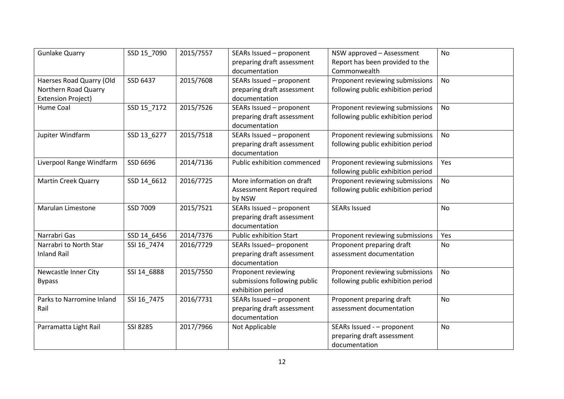| <b>Gunlake Quarry</b>                             | SSD 15_7090 | 2015/7557 | SEARs Issued - proponent<br>preparing draft assessment                   | NSW approved - Assessment<br>Report has been provided to the              | No        |
|---------------------------------------------------|-------------|-----------|--------------------------------------------------------------------------|---------------------------------------------------------------------------|-----------|
| Haerses Road Quarry (Old                          | SSD 6437    | 2015/7608 | documentation<br>SEARs Issued - proponent                                | Commonwealth<br>Proponent reviewing submissions                           | <b>No</b> |
| Northern Road Quarry<br><b>Extension Project)</b> |             |           | preparing draft assessment<br>documentation                              | following public exhibition period                                        |           |
| <b>Hume Coal</b>                                  | SSD 15_7172 | 2015/7526 | SEARs Issued - proponent<br>preparing draft assessment<br>documentation  | Proponent reviewing submissions<br>following public exhibition period     | <b>No</b> |
| Jupiter Windfarm                                  | SSD 13_6277 | 2015/7518 | SEARs Issued - proponent<br>preparing draft assessment<br>documentation  | Proponent reviewing submissions<br>following public exhibition period     | No        |
| Liverpool Range Windfarm                          | SSD 6696    | 2014/7136 | Public exhibition commenced                                              | Proponent reviewing submissions<br>following public exhibition period     | Yes       |
| <b>Martin Creek Quarry</b>                        | SSD 14_6612 | 2016/7725 | More information on draft<br>Assessment Report required<br>by NSW        | Proponent reviewing submissions<br>following public exhibition period     | <b>No</b> |
| <b>Marulan Limestone</b>                          | SSD 7009    | 2015/7521 | SEARs Issued - proponent<br>preparing draft assessment<br>documentation  | <b>SEARs Issued</b>                                                       | No        |
| Narrabri Gas                                      | SSD 14 6456 | 2014/7376 | <b>Public exhibition Start</b>                                           | Proponent reviewing submissions                                           | Yes       |
| Narrabri to North Star<br><b>Inland Rail</b>      | SSI 16_7474 | 2016/7729 | SEARs Issued-proponent<br>preparing draft assessment<br>documentation    | Proponent preparing draft<br>assessment documentation                     | No        |
| Newcastle Inner City<br><b>Bypass</b>             | SSI 14_6888 | 2015/7550 | Proponent reviewing<br>submissions following public<br>exhibition period | Proponent reviewing submissions<br>following public exhibition period     | <b>No</b> |
| Parks to Narromine Inland<br>Rail                 | SSI 16_7475 | 2016/7731 | SEARs Issued - proponent<br>preparing draft assessment<br>documentation  | Proponent preparing draft<br>assessment documentation                     | No        |
| Parramatta Light Rail                             | SSI 8285    | 2017/7966 | Not Applicable                                                           | SEARs Issued - - proponent<br>preparing draft assessment<br>documentation | No        |